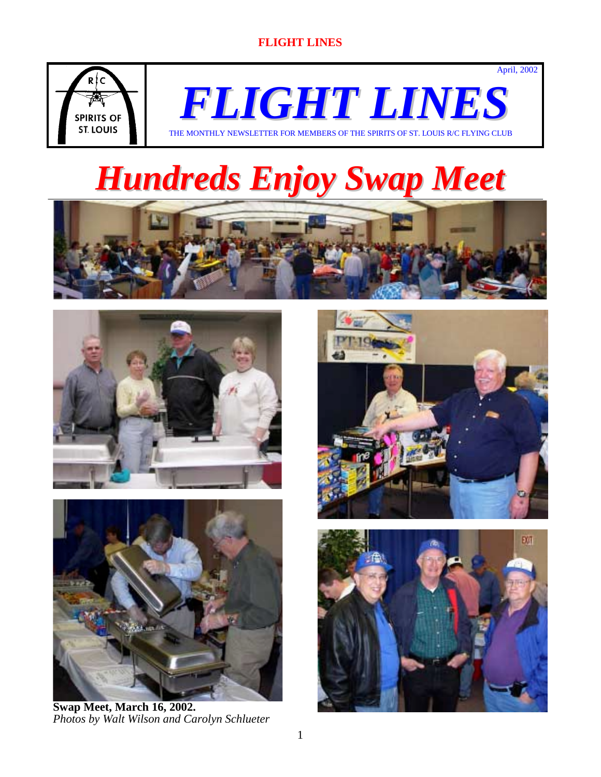

*FLIGHT LINES*

THE MONTHLY NEWSLETTER FOR MEMBERS OF THE SPIRITS OF ST. LOUIS R/C FLYING CLUB

# *Hundreds Enjoy Swap Meet*







**Swap Meet, March 16, 2002.**  *Photos by Walt Wilson and Carolyn Schlueter* 



April, 2002

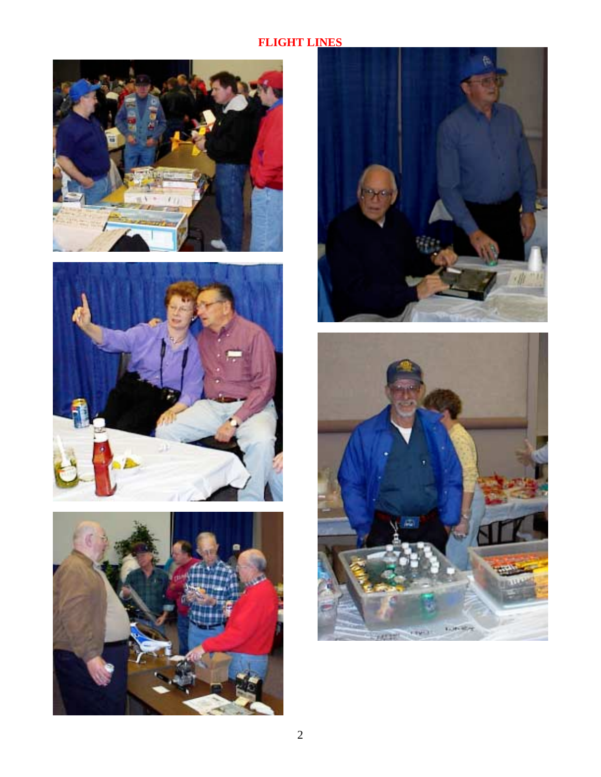







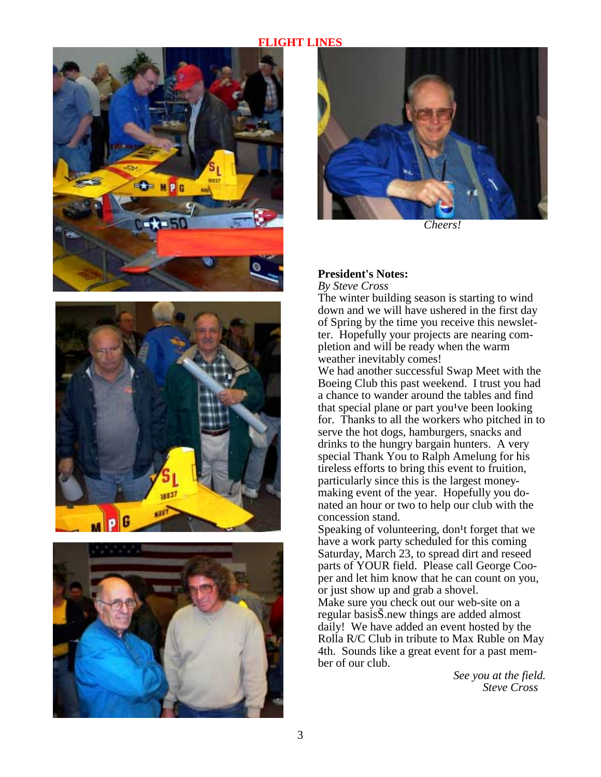







 *Cheers!* 

## **President's Notes:**

*By Steve Cross*

The winter building season is starting to wind down and we will have ushered in the first day of Spring by the time you receive this newsletter. Hopefully your projects are nearing completion and will be ready when the warm weather inevitably comes!

We had another successful Swap Meet with the Boeing Club this past weekend. I trust you had a chance to wander around the tables and find that special plane or part you<sup>1</sup>ve been looking for. Thanks to all the workers who pitched in to serve the hot dogs, hamburgers, snacks and drinks to the hungry bargain hunters. A very special Thank You to Ralph Amelung for his tireless efforts to bring this event to fruition, particularly since this is the largest moneymaking event of the year. Hopefully you donated an hour or two to help our club with the concession stand.

Speaking of volunteering, don<sup>1</sup>t forget that we have a work party scheduled for this coming Saturday, March 23, to spread dirt and reseed parts of YOUR field. Please call George Cooper and let him know that he can count on you, or just show up and grab a shovel.

Make sure you check out our web-site on a regular basisŠ.new things are added almost daily! We have added an event hosted by the Rolla R/C Club in tribute to Max Ruble on May 4th. Sounds like a great event for a past member of our club.

> *See you at the field. Steve Cross*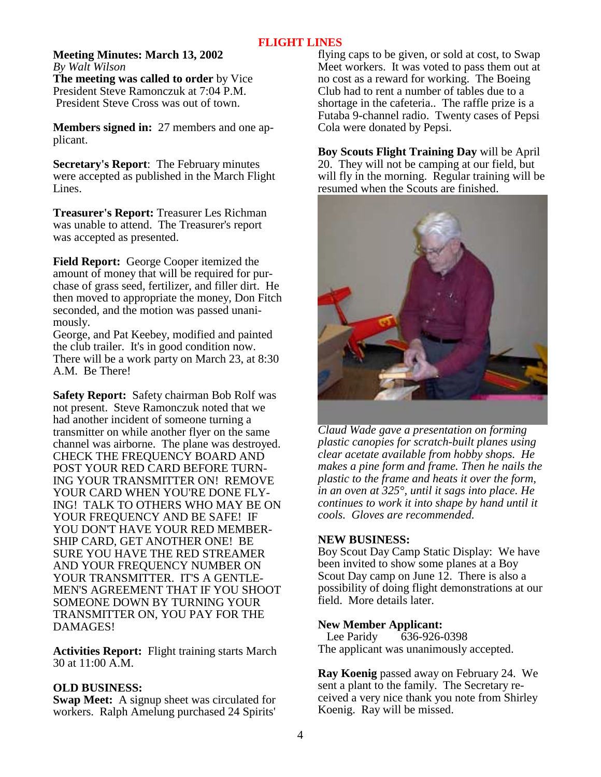#### **Meeting Minutes: March 13, 2002**  *By Walt Wilson*

**The meeting was called to order** by Vice President Steve Ramonczuk at 7:04 P.M. President Steve Cross was out of town.

**Members signed in:** 27 members and one applicant.

**Secretary's Report**: The February minutes were accepted as published in the March Flight Lines.

**Treasurer's Report:** Treasurer Les Richman was unable to attend. The Treasurer's report was accepted as presented.

**Field Report:** George Cooper itemized the amount of money that will be required for purchase of grass seed, fertilizer, and filler dirt. He then moved to appropriate the money, Don Fitch seconded, and the motion was passed unanimously.

George, and Pat Keebey, modified and painted the club trailer. It's in good condition now. There will be a work party on March 23, at 8:30 A.M. Be There!

**Safety Report:** Safety chairman Bob Rolf was not present. Steve Ramonczuk noted that we had another incident of someone turning a transmitter on while another flyer on the same channel was airborne. The plane was destroyed. CHECK THE FREQUENCY BOARD AND POST YOUR RED CARD BEFORE TURN-ING YOUR TRANSMITTER ON! REMOVE YOUR CARD WHEN YOU'RE DONE FLY-ING! TALK TO OTHERS WHO MAY BE ON YOUR FREQUENCY AND BE SAFE! IF YOU DON'T HAVE YOUR RED MEMBER-SHIP CARD, GET ANOTHER ONE! BE SURE YOU HAVE THE RED STREAMER AND YOUR FREQUENCY NUMBER ON YOUR TRANSMITTER. IT'S A GENTLE-MEN'S AGREEMENT THAT IF YOU SHOOT SOMEONE DOWN BY TURNING YOUR TRANSMITTER ON, YOU PAY FOR THE DAMAGES!

**Activities Report:** Flight training starts March 30 at 11:00 A.M.

## **OLD BUSINESS:**

**Swap Meet:** A signup sheet was circulated for workers. Ralph Amelung purchased 24 Spirits' flying caps to be given, or sold at cost, to Swap Meet workers. It was voted to pass them out at no cost as a reward for working. The Boeing Club had to rent a number of tables due to a shortage in the cafeteria.. The raffle prize is a Futaba 9-channel radio. Twenty cases of Pepsi Cola were donated by Pepsi.

**Boy Scouts Flight Training Day** will be April 20. They will not be camping at our field, but will fly in the morning. Regular training will be resumed when the Scouts are finished.



*Claud Wade gave a presentation on forming plastic canopies for scratch-built planes using clear acetate available from hobby shops. He makes a pine form and frame. Then he nails the plastic to the frame and heats it over the form, in an oven at 325°, until it sags into place. He continues to work it into shape by hand until it cools. Gloves are recommended.* 

#### **NEW BUSINESS:**

Boy Scout Day Camp Static Display: We have been invited to show some planes at a Boy Scout Day camp on June 12. There is also a possibility of doing flight demonstrations at our field. More details later.

#### **New Member Applicant:**

 Lee Paridy 636-926-0398 The applicant was unanimously accepted.

**Ray Koenig** passed away on February 24. We sent a plant to the family. The Secretary received a very nice thank you note from Shirley Koenig. Ray will be missed.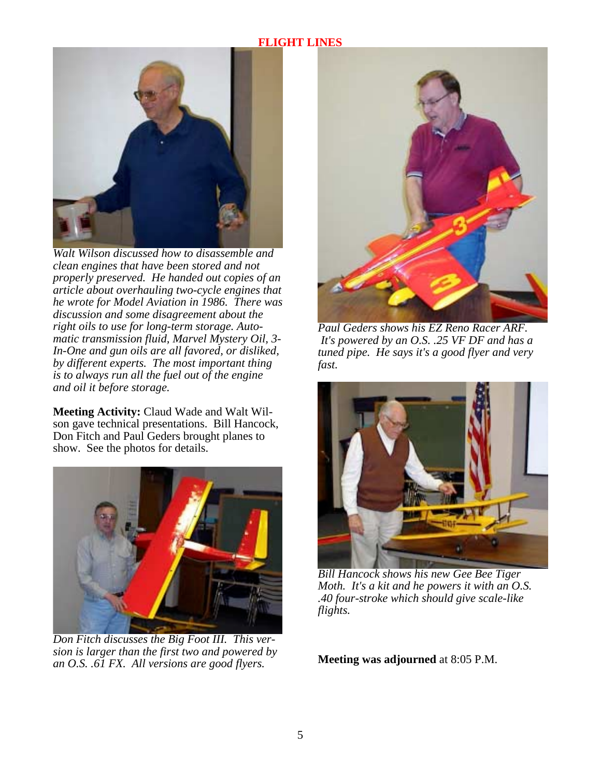

*Walt Wilson discussed how to disassemble and clean engines that have been stored and not properly preserved. He handed out copies of an article about overhauling two-cycle engines that he wrote for Model Aviation in 1986. There was discussion and some disagreement about the right oils to use for long-term storage. Automatic transmission fluid, Marvel Mystery Oil, 3- In-One and gun oils are all favored, or disliked, by different experts. The most important thing is to always run all the fuel out of the engine and oil it before storage.* 

**Meeting Activity:** Claud Wade and Walt Wilson gave technical presentations. Bill Hancock, Don Fitch and Paul Geders brought planes to show. See the photos for details.



*Don Fitch discusses the Big Foot III. This version is larger than the first two and powered by an O.S. .61 FX. All versions are good flyers.* 



*Paul Geders shows his EZ Reno Racer ARF. It's powered by an O.S. .25 VF DF and has a tuned pipe. He says it's a good flyer and very fast.* 



*Bill Hancock shows his new Gee Bee Tiger Moth. It's a kit and he powers it with an O.S. .40 four-stroke which should give scale-like flights.* 

**Meeting was adjourned** at 8:05 P.M.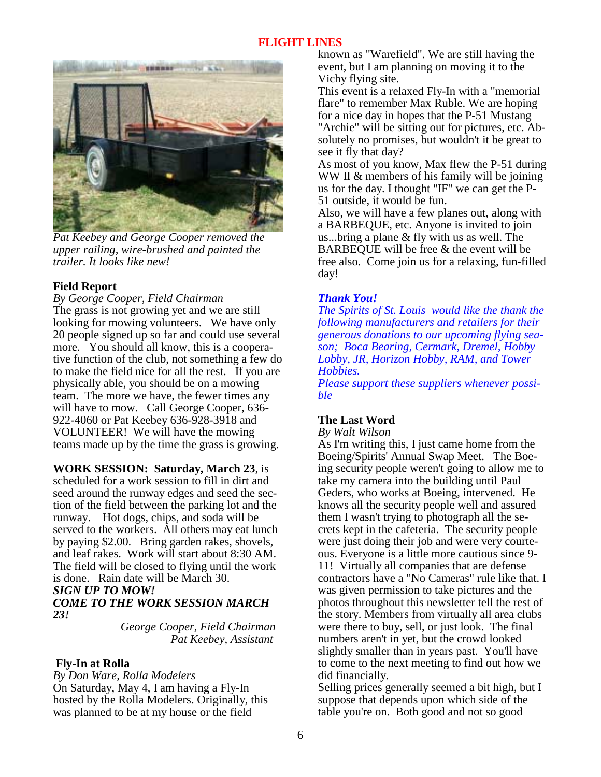

*Pat Keebey and George Cooper removed the upper railing, wire-brushed and painted the trailer. It looks like new!* 

## **Field Report**

*By George Cooper, Field Chairman* 

The grass is not growing yet and we are still looking for mowing volunteers. We have only 20 people signed up so far and could use several more. You should all know, this is a cooperative function of the club, not something a few do to make the field nice for all the rest. If you are physically able, you should be on a mowing team. The more we have, the fewer times any will have to mow. Call George Cooper, 636-922-4060 or Pat Keebey 636-928-3918 and VOLUNTEER! We will have the mowing teams made up by the time the grass is growing.

**WORK SESSION: Saturday, March 23**, is

scheduled for a work session to fill in dirt and seed around the runway edges and seed the section of the field between the parking lot and the runway. Hot dogs, chips, and soda will be served to the workers. All others may eat lunch by paying \$2.00. Bring garden rakes, shovels, and leaf rakes. Work will start about 8:30 AM. The field will be closed to flying until the work is done. Rain date will be March 30.

#### *SIGN UP TO MOW!*

#### *COME TO THE WORK SESSION MARCH 23!*

 *George Cooper, Field Chairman Pat Keebey, Assistant*

#### **Fly-In at Rolla**

*By Don Ware, Rolla Modelers* On Saturday, May 4, I am having a Fly-In hosted by the Rolla Modelers. Originally, this was planned to be at my house or the field

known as "Warefield". We are still having the event, but I am planning on moving it to the Vichy flying site.

This event is a relaxed Fly-In with a "memorial flare" to remember Max Ruble. We are hoping for a nice day in hopes that the P-51 Mustang "Archie" will be sitting out for pictures, etc. Absolutely no promises, but wouldn't it be great to see it fly that day?

As most of you know, Max flew the P-51 during WW II & members of his family will be joining us for the day. I thought "IF" we can get the P-51 outside, it would be fun.

Also, we will have a few planes out, along with a BARBEQUE, etc. Anyone is invited to join us...bring a plane & fly with us as well. The BARBEQUE will be free & the event will be free also. Come join us for a relaxing, fun-filled day!

#### *Thank You!*

*The Spirits of St. Louis would like the thank the following manufacturers and retailers for their generous donations to our upcoming flying season; Boca Bearing, Cermark, Dremel, Hobby Lobby, JR, Horizon Hobby, RAM, and Tower Hobbies.* 

*Please support these suppliers whenever possible* 

## **The Last Word**

*By Walt Wilson*

As I'm writing this, I just came home from the Boeing/Spirits' Annual Swap Meet. The Boeing security people weren't going to allow me to take my camera into the building until Paul Geders, who works at Boeing, intervened. He knows all the security people well and assured them I wasn't trying to photograph all the secrets kept in the cafeteria. The security people were just doing their job and were very courteous. Everyone is a little more cautious since 9- 11! Virtually all companies that are defense contractors have a "No Cameras" rule like that. I was given permission to take pictures and the photos throughout this newsletter tell the rest of the story. Members from virtually all area clubs were there to buy, sell, or just look. The final numbers aren't in yet, but the crowd looked slightly smaller than in years past. You'll have to come to the next meeting to find out how we did financially.

Selling prices generally seemed a bit high, but I suppose that depends upon which side of the table you're on. Both good and not so good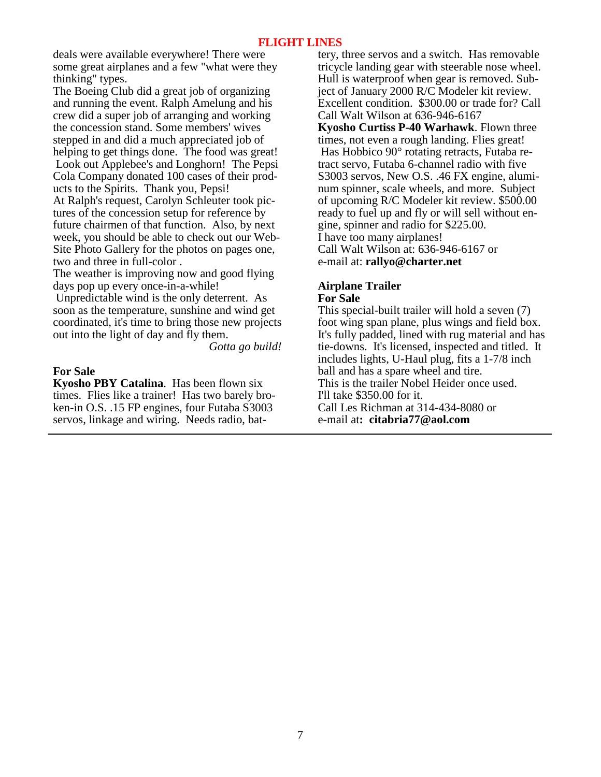deals were available everywhere! There were some great airplanes and a few "what were they thinking" types.

The Boeing Club did a great job of organizing and running the event. Ralph Amelung and his crew did a super job of arranging and working the concession stand. Some members' wives stepped in and did a much appreciated job of helping to get things done. The food was great! Look out Applebee's and Longhorn! The Pepsi Cola Company donated 100 cases of their products to the Spirits. Thank you, Pepsi! At Ralph's request, Carolyn Schleuter took pictures of the concession setup for reference by future chairmen of that function. Also, by next week, you should be able to check out our Web-Site Photo Gallery for the photos on pages one, two and three in full-color .

The weather is improving now and good flying days pop up every once-in-a-while!

 Unpredictable wind is the only deterrent. As soon as the temperature, sunshine and wind get coordinated, it's time to bring those new projects out into the light of day and fly them.

*Gotta go build!* 

#### **For Sale**

**Kyosho PBY Catalina**. Has been flown six times. Flies like a trainer! Has two barely broken-in O.S. .15 FP engines, four Futaba S3003 servos, linkage and wiring. Needs radio, bat-

tery, three servos and a switch. Has removable tricycle landing gear with steerable nose wheel. Hull is waterproof when gear is removed. Subject of January 2000 R/C Modeler kit review. Excellent condition. \$300.00 or trade for? Call Call Walt Wilson at 636-946-6167 **Kyosho Curtiss P-40 Warhawk**. Flown three times, not even a rough landing. Flies great! Has Hobbico 90° rotating retracts, Futaba retract servo, Futaba 6-channel radio with five S3003 servos, New O.S. .46 FX engine, aluminum spinner, scale wheels, and more. Subject of upcoming R/C Modeler kit review. \$500.00 ready to fuel up and fly or will sell without engine, spinner and radio for \$225.00. I have too many airplanes! Call Walt Wilson at: 636-946-6167 or e-mail at: **rallyo@charter.net**

## **Airplane Trailer**

## **For Sale**

This special-built trailer will hold a seven (7) foot wing span plane, plus wings and field box. It's fully padded, lined with rug material and has tie-downs. It's licensed, inspected and titled. It includes lights, U-Haul plug, fits a 1-7/8 inch ball and has a spare wheel and tire. This is the trailer Nobel Heider once used. I'll take \$350.00 for it. Call Les Richman at 314-434-8080 or e-mail at**: citabria77@aol.com**